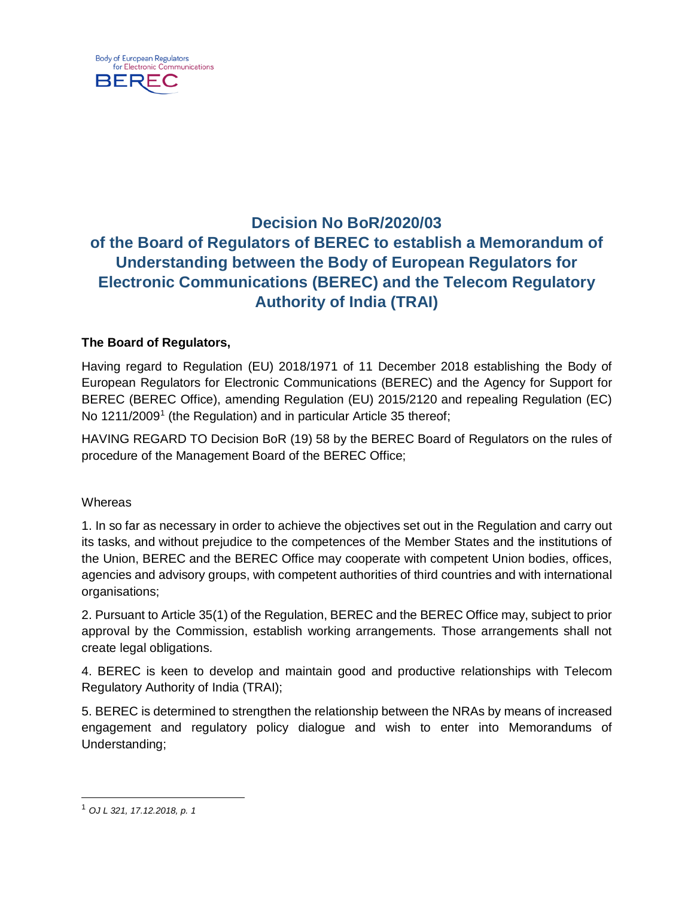

## **Decision No BoR/2020/03 of the Board of Regulators of BEREC to establish a Memorandum of Understanding between the Body of European Regulators for Electronic Communications (BEREC) and the Telecom Regulatory Authority of India (TRAI)**

## **The Board of Regulators,**

Having regard to Regulation (EU) 2018/1971 of 11 December 2018 establishing the Body of European Regulators for Electronic Communications (BEREC) and the Agency for Support for BEREC (BEREC Office), amending Regulation (EU) 2015/2120 and repealing Regulation (EC) No [1](#page-0-0)211/2009<sup>1</sup> (the Regulation) and in particular Article 35 thereof;

HAVING REGARD TO Decision BoR (19) 58 by the BEREC Board of Regulators on the rules of procedure of the Management Board of the BEREC Office;

**Whereas** 

1. In so far as necessary in order to achieve the objectives set out in the Regulation and carry out its tasks, and without prejudice to the competences of the Member States and the institutions of the Union, BEREC and the BEREC Office may cooperate with competent Union bodies, offices, agencies and advisory groups, with competent authorities of third countries and with international organisations;

2. Pursuant to Article 35(1) of the Regulation, BEREC and the BEREC Office may, subject to prior approval by the Commission, establish working arrangements. Those arrangements shall not create legal obligations.

4. BEREC is keen to develop and maintain good and productive relationships with Telecom Regulatory Authority of India (TRAI);

5. BEREC is determined to strengthen the relationship between the NRAs by means of increased engagement and regulatory policy dialogue and wish to enter into Memorandums of Understanding;

<span id="page-0-0"></span> <sup>1</sup> *OJ L 321, 17.12.2018, p. 1*